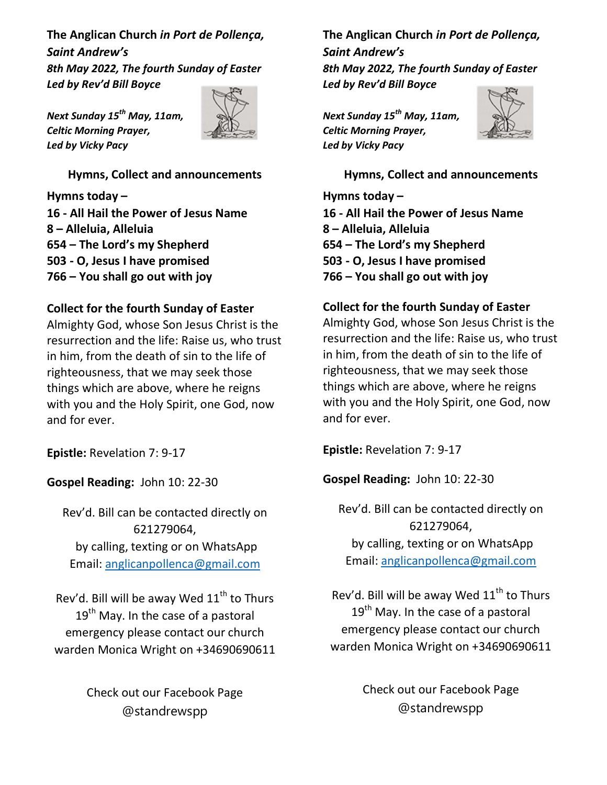The Anglican Church in Port de Pollença, Saint Andrew's 8th May 2022, The fourth Sunday of Easter Led by Rev'd Bill Boyce

Next Sunday 15<sup>th</sup> May, 11am, Celtic Morning Prayer, Led by Vicky Pacy



Hymns, Collect and announcements

Hymns today – 16 - All Hail the Power of Jesus Name 8 – Alleluia, Alleluia 654 – The Lord's my Shepherd 503 - O, Jesus I have promised 766 – You shall go out with joy

#### Collect for the fourth Sunday of Easter

Almighty God, whose Son Jesus Christ is the resurrection and the life: Raise us, who trust in him, from the death of sin to the life of righteousness, that we may seek those things which are above, where he reigns with you and the Holy Spirit, one God, now and for ever.

Epistle: Revelation 7: 9-17

Gospel Reading: John 10: 22-30

Rev'd. Bill can be contacted directly on 621279064, by calling, texting or on WhatsApp Email: anglicanpollenca@gmail.com

Rev'd. Bill will be away Wed  $11<sup>th</sup>$  to Thurs  $19<sup>th</sup>$  May. In the case of a pastoral emergency please contact our church warden Monica Wright on +34690690611

> Check out our Facebook Page @standrewspp

The Anglican Church in Port de Pollença, Saint Andrew's 8th May 2022, The fourth Sunday of Easter Led by Rev'd Bill Boyce

Next Sunday 15<sup>th</sup> May, 11am, Celtic Morning Prayer, Led by Vicky Pacy



Hymns, Collect and announcements

Hymns today – 16 - All Hail the Power of Jesus Name 8 – Alleluia, Alleluia 654 – The Lord's my Shepherd 503 - O, Jesus I have promised 766 – You shall go out with joy

#### Collect for the fourth Sunday of Easter

Almighty God, whose Son Jesus Christ is the resurrection and the life: Raise us, who trust in him, from the death of sin to the life of righteousness, that we may seek those things which are above, where he reigns with you and the Holy Spirit, one God, now and for ever.

Epistle: Revelation 7: 9-17

Gospel Reading: John 10: 22-30

Rev'd. Bill can be contacted directly on 621279064, by calling, texting or on WhatsApp Email: anglicanpollenca@gmail.com

Rev'd. Bill will be away Wed  $11<sup>th</sup>$  to Thurs  $19<sup>th</sup>$  May. In the case of a pastoral emergency please contact our church warden Monica Wright on +34690690611

> Check out our Facebook Page @standrewspp